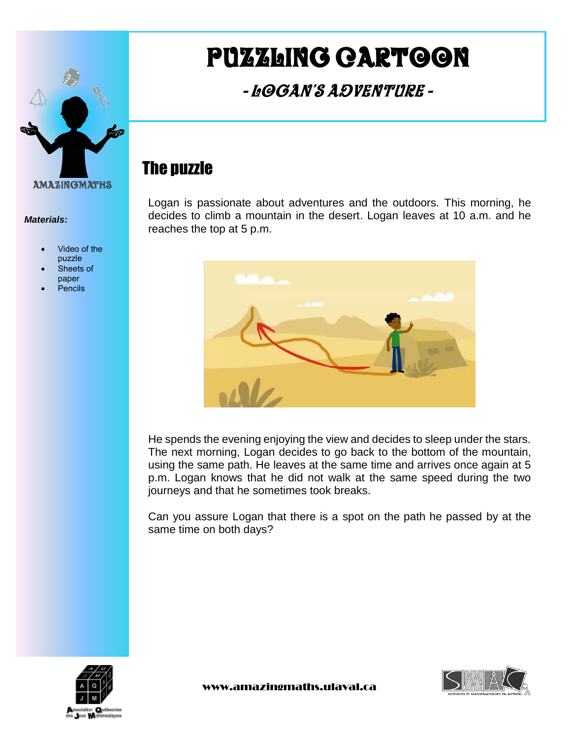

#### *Materials:*

- Video of the puzzle
- Sheets of paper
- Pencils

# Puzzling cartoon

## - Logan's Adventure -

#### The puzzle

Logan is passionate about adventures and the outdoors. This morning, he decides to climb a mountain in the desert. Logan leaves at 10 a.m. and he reaches the top at 5 p.m.



He spends the evening enjoying the view and decides to sleep under the stars. The next morning, Logan decides to go back to the bottom of the mountain, using the same path. He leaves at the same time and arrives once again at 5 p.m. Logan knows that he did not walk at the same speed during the two journeys and that he sometimes took breaks.

Can you assure Logan that there is a spot on the path he passed by at the same time on both days?